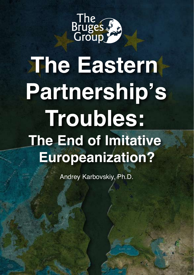

# **The Eastern Partnership's Troubles: The End of Imitative Europeanization?**

Andrey Karbovskiy, Ph.D.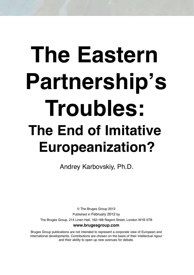# **The Eastern Partnership's Troubles: The End of Imitative Europeanization?**

Andrey Karbovskiy, Ph.D.

© The Bruges Group 2012 Published in February 2012 by The Bruges Group, 214 Linen Hall, 162-168 Regent Street, London W1B 5TB **www.brugesgroup.com**

Bruges Group publications are not intended to represent a corporate view of European and international developments. Contributions are chosen on the basis of their intellectual rigour and their ability to open up new avenues for debate.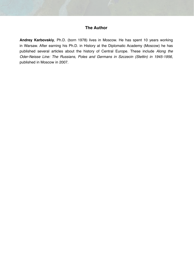#### **The Author**

**Andrey Karbovskiy**, Ph.D. (born 1978) lives in Moscow. He has spent 10 years working in Warsaw. After earning his Ph.D. in History at the Diplomatic Academy (Moscow) he has published several articles about the history of Central Europe. These include *Along the Oder-Neisse Line: The Russians, Poles and Germans in Szczecin (Stettin) in 1945-1956*, published in Moscow in 2007.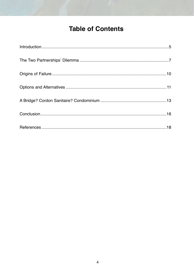## **Table of Contents**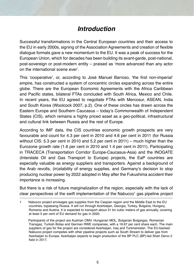## *Introduction*

Successful transformations in the Central European countries and their access to the EU in early 2000s, signing of the Association Agreements and creation of flexible dialogue formats gave a new momentum to the EU. It was a peak of success for the European Union, which for decades has been building its avant-garde, post-national, post-sovereign or post-modern entity – praised as 'more advanced than any actor on the international scene ever'.

This 'cooperative', or, according to José Manuel Barroso, 'the first non-imperial' empire, has constructed a system of concentric circles expanding across the entire globe. There are the European Economic Agreements with the Africa Caribbean and Pacific states, bilateral FTAs concluded with South Africa, Mexico and Chile. In recent years, the EU agreed to negotiate FTAs with Mercosur, ASEAN, India and South Korea (Woolcock 2007, p.2). One of these circles has drawn across the Eastern Europe and Southern Caucasus – today's Commonwealth of Independent States (CIS), which remains a highly priced asset as a geo-political, infrastructural and cultural link between Russia and the rest of Europe.

According to IMF data, the CIS countries economic growth prospects are very favourable and count for 4.3 per cent in 2010 and 4.6 per cent in 2011 (for Russia without CIS: 5.3 per cent in 2010 and 5.2 per cent in 2011) – much higher than the Eurozone growth rate (1.6 per cent in 2010 and 1.4 per cent in 2011). Participating in TRACECA (Transportation Corridor Europe-Caucasus-Asia) and the INOGATE (Interstate Oil and Gas Transport to Europe) projects, the EaP countries are especially valuable as energy suppliers and transporters. Against a background of the Arab revolts, (in)stability of energy supplies, and Germany's decision to stop producing nuclear power by 2022 adopted in May after the Fukushima accident their importance is increasing.

But there is a risk of future marginalization of the region, especially with the lack of clear perspectives of the swift implementation of the Nabucco<sup>1</sup> gas pipeline project

Participants of the project are Austrian OMV, Hungarian MOL, Bulgarian Bulgargaz, Romanian Transgaz, Turkish Botas and German RWE companies, with a 16.67 per cent share each. The main suppliers of gas for the project are considered Azerbaijan, Iraq and Turkmenistan. The EU-backed Nabucco project competes with other pipeline projects such as South Stream to deliver gas from Azerbaijan to Europe. Azerbaijan expects to begin production of the BP PLC (BP)-led Shah Deniz-2 field in 2017.

<sup>1</sup> Nabucco project envisages gas supplies from the Caspian region and the Middle East to the EU countries, bypassing Russia. It will run through Azerbaijan, Georgia, Turkey, Bulgaria, Hungary, Romania and Austria. It is expected to transport about 31 bn cubic meters of gas annually, covering at least 5 per cent of EU demand for gas in 2020.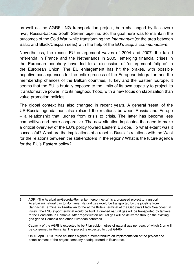as well as the AGRI<sup>2</sup> LNG transportation project, both challenged by its severe rival, Russia-backed South Stream pipeline. So, the goal here was to maintain the outcomes of the Cold War, while transforming the *Intermarium* (or the area between Baltic and Black/Caspian seas) with the help of the EU's *acquis communautaire*.

Nevertheless, the recent EU enlargement waves of 2004 and 2007, the failed referenda in France and the Netherlands in 2005, emerging financial crises in the European periphery have led to a discussion of 'enlargement fatigue' in the European Union. The EU enlargement has hit the brakes, with possible negative consequences for the entire process of the European integration and the membership chances of the Balkan countries, Turkey and the Eastern Europe. It seems that the EU is brutally exposed to the limits of its own capacity to project its 'transformative power' into its neighbourhood, with a new focus on stabilization than value promotion policies.

The global context has also changed in recent years. A general 'reset' of the US-Russia agenda has also relaxed the relations between Russia and Europe – a relationship that lurches from crisis to crisis. The latter has become less competitive and more cooperative. The new situation implicates the need to make a critical overview of the EU's policy toward Eastern Europe. To what extent was it successful? What are the implications of a reset in Russia's relations with the West for the relations between the stakeholders in the region? What is the future agenda for the EU's Eastern policy?

Capacity of the AGRI is expected to be 7 bn cubic metres of natural gas per year, of which 2 bn will be consumed in Romania. The project is expected to cost €4-6bn.

On 13 April 2010, three countries signed a memorandum on implementation of the project and establishment of the project company headquartered in Bucharest.

<sup>2</sup> AGRI (The Azerbaijan-Georgia-Romania-Interconnector) is a proposed project to transport Azerbaijani natural gas to Romania. Natural gas would be transported by the pipeline from Sangachal Terminal in Azerbaijan to the at the Kulevi Terminal at the Georgia's Black Sea coast. In Kulevi, the LNG export terminal would be built. Liquefied natural gas will be transported by tankers to the Constanta in Romania. After regasificaton natural gas will be delivered through the existing gas grid to Romania and other European countries.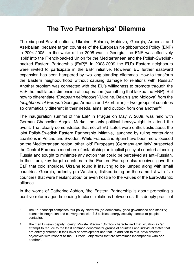#### **The Two Partnerships' Dilemma**

The six post-Soviet nations, Ukraine, Belarus, Moldova, Georgia, Armenia and Azerbaijan, became target countries of the European Neighbourhood Policy (ENP) in 2004-2005. In the wake of the 2008 war in Georgia, the ENP was effectively 'split' into the French-backed Union for the Mediterranean and the Polish-Swedishbacked Eastern Partnership (EaP)<sup>3</sup>. In 2008-2009 the EU's Eastern neighbours were invited to participate in the EaP initiative. However, EU further eastward expansion has been hampered by two long-standing dilemmas. How to transform the Eastern neighbourhood without causing damage to relations with Russia? Another problem was connected with the EU's willingness to promote through the EaP the multilateral dimension of cooperation (something that lacked the ENP). But how to differentiate *'European neighbours'* (Ukraine, Belarus and Moldova) from the *'neighbours of Europe'* (Georgia, Armenia and Azerbaijan) – two groups of countries so dramatically different in their needs, aims, and outlook from one another4 ?

The inauguration summit of the EaP in Prague on May 7, 2009, was held with German Chancellor Angela Merkel the only political heavyweight to attend the event. That clearly demonstrated that not all EU states were enthusiastic about the joint Polish-Swedish Eastern Partnership initiative, launched by ruling center-right coalitions in Poland and Sweden. While France and Spain have been more focused on the Mediterranean region, other 'old' Europeans (Germany and Italy) suspected the Central European members of establishing an implicit policy of counterbalancing Russia and sought to minimize any action that could be perceived as anti-Russian. In their turn, key target countries in the Eastern Eaurope also received gave the EaP that cold shoulder. Ukraine found it insulting to be lumped along with small countries. Georgia, ardently pro-Western, disliked being on the same list with five countries that were hesitant about or even hostile to the values of the Euro-Atlantic alliance.

In the words of Catherine Ashton, 'the Eastern Partnership is about promoting a positive reform agenda leading to closer relations between us. It is deeply practical

<sup>3</sup> The EaP concept comprises four policy platforms (on democracy, good governance and stability; economic integration and convergence with EU policies; energy security; people-to-people contacts).

<sup>4</sup> The then Russian deputy Foreign Minister Vladimir Chizhov characterized that situation as 'an attempt to reduce to the least common denominator groups of countries and individual states that are entirely different in their level of development and that, in addition to this, have different objectives with respect to the EU itself – objectives that are oftentimes incompatible with one another'.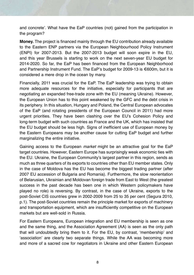and concrete'. What have the EaP countries (not) gained from the participation in the program?

**Money.** The project is financed mainly through the EU contribution already available to the Eastern ENP partners via the European Neighbourhood Policy Instrument (ENPI) for 2007-2013. But the 2007-2013 budget will soon expire in the EU, and this year Brussels is starting to work on the next seven-year EU budget for 2014-2020. So far, the EaP has been financed from the European Neighborhood and Partnership Instrument Fund. The EaP's budget for 2009-13 is €600m, but it is considered a mere drop in the ocean by many.

Financially, 2011 was crucial for the EaP. The EaP leadership was trying to obtain more adequate resources for the initiative, especially for participants that are negotiating an expanded free-trade zone with the EU (meaning Ukraine). However, the European Union has to this point weakened by the GFC and the debt crisis in its periphery. In this situation, Hungary and Poland, the Central European advocates of the EaP (and rotating presidents of the European Council in 2011) had more urgent priorities. They have been clashing over the EU's Cohesion Policy and long-term budget with such countries as France and the UK, which has insisted that the EU budget should be less high. Signs of inefficient use of European money by the Eastern Europeans may be another cause for cutting EaP budget and further marginalizing the entire initiative.

Gaining access to the European *market* might be an attractive goal for the EaP target countries. However, Eastern Europe has surprisingly weak economic ties with the EU. Ukraine, the European Community's largest partner in this region, sends as much as three quarters of its exports to countries other than EU member states. Only in the case of Moldova has the EU has become the biggest trading partner (after 2007 EU accession of Bulgaria and Romania). Furthermore, the slow reorientation of Belarusian, Ukrainian and Moldovan foreign trade from East to West (the greatest success in the past decade has been one in which Western policymakers have played no role) is reversing. By contrast, in the case of Ukraine, exports to the post-Soviet CIS countries grew in 2002-2009 from 25 to 35 per cent (Segura 2010, p.1). The post-Soviet countries remain the principle market for exports of machinery and transportation equipment, which are insufficiently competitive on the European markets but are well-sold in Russia.

For Eastern Europeans, European integration and EU membership is seen as one and the same thing, and the Association Agreement (AA) is seen as the only path that will undoubtedly bring them to it. For the EU, by contrast, 'membership' and 'association' are clearly two separate things. While the AA was becoming more and more of a sacred cow for negotiators in Ukraine and other Eastern European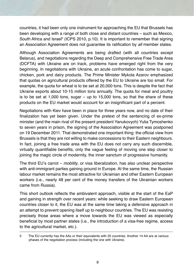countries, it had been only one instrument for approaching the EU that Brussels has been developing with a range of both close and distant countries – such as Mexico, South Africa and Israel<sup>s</sup> (ICPS 2010, p.10). It is important to remember that signing an Association Agreement does not guarantee its ratification by *all* member states.

Although Association Agreements are being drafted (with all countries except Belarus), and negotiations regarding the Deep and Comprehensive Free Trade Area (DCFTA) with Ukraine are on track, problems have emerged right from the very beginning. In negotiations with Ukraine, an acute confrontation has come to sugar, chicken, pork and dairy products. The Prime Minister Mykola Azarov emphasized that quotas on agricultural products offered by the EU to Ukraine are too small. For example, the quota for wheat is to be set at 20,000 tons. This is despite the fact that Ukraine exports about 10-15 million tons annually. The quota for meat and poultry is to be set at  $1,000$  tons, sugar – up to  $15,000$  tons, so that the share of these products on the EU market would account for an insignificant part of a percent.

Negotiations with Kiev have been in place for three years now, and no date of their finalization has yet been given. Under the pretext of the sentencing of ex-prime minister (and the main rival of the present president Yanukovych) Yulia Tymoshenko to seven years in prison, the signing of the Association Agreement was postponed on 19 December 2011. That demonstrated one important thing: the official view from Brussels is that they are not willing to make concessions to their Eastern neighbours. In fact, joining a free trade area with the EU does not carry any such discernible, virtually quantifiable benefits, only the vague feeling of moving one step closer to joining the magic circle of modernity, the inner sanctum of progressive humanity.

The third EU's carrot – *mobility*, or visa liberalization, has also unclear perspective with anti-immigrant parties gaining ground in Europe. At the same time, the Russian labour market remains the most attractive for Ukrainian and other Eastern European workers (i.e., nearly 48 per cent of the money transfers of the Ukrainian workers came from Russia).

This short outlook reflects the ambivalent approach, visible at the start of the EaP and gaining in strength over recent years: while seeking to draw Eastern European countries closer to it, the EU was at the same time taking a defensive approach in an attempt to prevent opening itself up to neighbour countries. The EU was resisting precisely those areas where a move towards the EU was viewed as especially beneficial by most partner states (i.e., the introduction of a visa-free regime, access to the agricultural market, etc.).

<sup>5</sup> The EU currently has the AAs or their equivalents with 25 countries. Another 14 AA are at various phases of the negotiation process (including the one with Ukraine).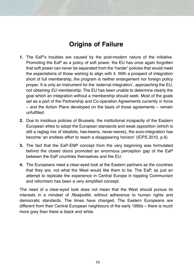## **Origins of Failure**

- **1.** The EaP's troubles are caused by the post-modern nature of the initiative. Promoting the EaP as a policy of soft power, the EU has once again forgotten that soft power can never be separated from the 'harder' policies that would meet the expectations of those wishing to align with it. With a prospect of integration short of full membership, the program is neither enlargement nor foreign policy proper. It is only an instrument for the 'external integration', *approaching* the EU, not *obtaining EU membership*. The EU has been unable to determine clearly the goal which an integration without a membership should seek. Most of the goals set as a part of the Partnership and Co-operation Agreements currently in force – and the Action Plans developed on the basis of those agreements – remain unfulfilled.
- **2.** Due to insidious policies of Brussels, the institutional incapacity of the Eastern European elites to adopt the European standards and weak opposition (which is still a ragtag mix of idealists, has-beens, never-weres), the euro-integration has become 'an endless effort to reach a disappearing horizon' (ICPS 2010, p.9).
- **3.** The fact that the EaP-ENP concept from the very beginning was formulated behind the closed doors promoted an enormous perception gap of the EaP between the EaP countries themselves and the EU.
- **4.** The Europeans need a clear-eyed look at the Eastern partners as the countries that they are, not what the West would like them to be. The EaP, as just an attempt to replicate the experience in Central Europe in toppling Communism and reformism has been a very simplified concept.

The need of a clear-eyed look does not mean that the West should pursue its interests in a mindset of *Realpolitik*, without adherence to human rights and democratic standards. The times have changed. The Eastern Europeans are different from their Central European neighbours of the early 1990s – there is much more grey than there is black and white.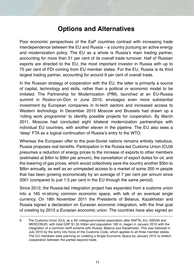### **Options and Alternatives**

Poor economic perspectives of the EaP countries contrast with increasing trade interdependence between the EU and Russia – a country pursuing an active energy and modernization policy. The EU as a whole is Russia's main trading partner, accounting for more than 51 per cent of its overall trade turnover. Half of Russian exports are directed to the EU, the most important investor in Russia with up to 75 per cent of FDI coming from EU member states. For the EU, Russia is its third largest trading partner, accounting for around 9 per cent of overall trade.

In the Russian strategy of cooperation with the EU, the latter is primarily a source of capital, technology and skills, rather than a political or economic model to be imitated. The Partnership for Modernization (PfM), launched at an EU-Russia summit in Rostov-on-Don in June 2010, envisages even more substantial investment by European companies in hi-tech sectors and increased access to Western technology. In December 2010 Moscow and Brussels had drawn up a 'rolling work programme' to identify possible projects for cooperation. By March 2011, Moscow had concluded eight bilateral modernization partnerships with individual EU countries, with another eleven in the pipeline. The EU also sees a 'deep' FTA as a logical continuation of Russia's entry to the WTO.

Whereas the European offer to the post-Soviet nations remains entirely nebulous, Russia proposes real benefits. Participation in the Russia-led Customs Union (CU)6 presumes a reduction of energy prices to the increase of exports to other members (estimated at \$4bn to \$9bn per annum), the cancellation of export duties for oil, and the lowering of gas prices, which would collectively save the country another \$5bn to \$6bn annually, as well as an unimpeded access to a market of some 200 m people that has been growing economically by an average of 7 per cent per annum since 2001 (compared to just 1.5 per cent in the EU through the same period).

Since 2012, the Russia-led integration project has expanded from a customs union into a 165 m-strong common economic space, with talk of an eventual single currency. On 18th November 2011 the Presidents of Belarus, Kazakhstan and Russia signed a declaration on Eurasian economic integration, with the final goal of creating by 2015 a Eurasian economic union. The countries have also signed an

<sup>6</sup> The Customs Union (CU), as a 5th intergovernmental association after NAFTA, EU, ASEAN and MERCOSUR, with total GDP \$1.35 trillion and population 160 m, began in January 2010 with the integration of a common tariff scheme with Russia, Belarus and Kazakhstan. This was followed in July 2010 by the entry into force of the Customs Code, which applies to all three member states. The CU members were planning on creating a Single Economic Space by January 2012 to stretch cooperation between the parties beyond trade.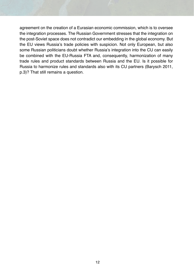agreement on the creation of a Eurasian economic commission, which is to oversee the integration processes. The Russian Government stresses that the integration on the post-Soviet space does not contradict our embedding in the global economy. But the EU views Russia's trade policies with suspicion. Not only European, but also some Russian politicians doubt whether Russia's integration into the CU can easily be combined with the EU-Russia FTA and, consequently, harmonization of many trade rules and product standards between Russia and the EU. Is it possible for Russia to harmonize rules and standards also with its CU partners (Barysch 2011, p.3)? That still remains a question.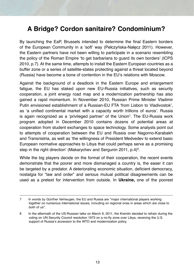## **A Bridge? Cordon sanitaire? Condominium?**

By launching the EaP, Brussels intended to determine the final Eastern borders of the European Community in a 'soft' way (Pełczyńska-Nałęcz 2011). However, the Eastern partners have not been willing to participate in a scenario resembling the policy of the Roman Empire 'to get barbarians to guard its own borders' (ICPS 2010, p.7). At the same time, attempts to install the Eastern European countries as a buffer zone or a series of satellite-states protecting against a threat located beyond (Russia) have become a bone of contention in the EU's relations with Moscow.

Against the background of a deadlock in the Eastern Europe and enlargement fatigue, the EU has staked upon new EU-Russia initiatives, such as security cooperation, a joint energy road map and a modernization partnership has also gained a rapid momentum. In November 2010, Russian Prime Minister Vladimir Putin envisioned establishment of a Russian-EU FTA 'from Lisbon to Vladivostok', as 'a unified continental market with a capacity worth trillions of euros'. Russia is again recognized as a 'privileged partner' of the Union7 . The EU-Russia work program adopted in December 2010 contains dozens of potential areas at cooperation from student exchanges to space technology. Some analysts point out to attempts of cooperation between the EU and Russia over Nagorno-Karabakh and Transnistria, as well as 'the willingness of President Medvedev to extend basic European normative approaches to Libya that could perhaps serve as a promising step in the right direction' (Makarychev and Sergunin 2011, p.4) $^8$ .

While the big players decide on the format of their cooperation, the recent events demonstrate that the poorer and more dismanaged a country is, the easer it can be targeted by a predator. A deteriorating economic situation, deficient democracy, nostalgia for "law and order" and serious mutual political disagreements can be used as a pretext for intervention from outside. In **Ukraine,** one of the poorest

<sup>7</sup> In words by Günther Verheugen, the EU and Russia are "major international players working together on numerous international issues, including on regional ones in areas which are close to both of us".

<sup>8</sup> In the aftermath of the US-Russian talks on March 9, 2011, the Kremlin decided to refrain during the voting on UN Security Council resolution 1973 on a no-fly zone over Libya, receiving the U.S. support of Russia's accession to the WTO and modernization policy.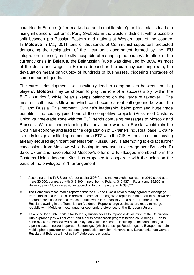countries in Europe9 (often marked as an 'immobile state'), political stasis leads to rising influence of extremist Party Svoboda in the western districts, with a possible split between pro-Russian Eastern and nationalist Western part of the country. In **Moldova** in May 2011 tens of thousands of Communist supporters protested demanding the resignation of the incumbent government formed by the "EU integration alliance", as 'totally incapable of managing the country'. In effect of the currency crisis in **Belarus**, the Belarussian Ruble was devalued by 36%. As most of the deals and wages in Belarus depend on the currency exchange rate, the devaluation meant bankruptcy of hundreds of businesses, triggering shortages of some important goods.

The current developments will inevitably lead to compromises between the 'big players'. **Moldova** may be chosen to play the role of a 'success story' within the EaP countries<sup>10</sup>, while Belarus keeps balancing on the verge of takeover<sup>11</sup>. The most difficult case is **Ukraine**, which can become a real battleground between the EU and Russia. This moment, Ukraine's leadership, being promised huge trade benefits if the country joined one of the competitive projects (Russia-led Customs Union vs. free-trade zone with the EU), sends confusing messages to Moscow and Brussels. With an understanding that any trade war with Russia would ruin the Ukrainian economy and lead to the degradation of Ukraine's industrial base, Ukraine is ready to sign a unified agreement on a FTZ with the CIS. At the same time, having already secured significant benefits from Russia, Kiev is attempting to extract further concessions from Moscow, while hoping to increase its leverage over Brussels. To date, Ukrainians have refused Moscow's offer of a full-fledged membership in the Customs Union. Instead, Kiev has proposed to cooperate with the union on the basis of the privileged '3+1' arrangement.

<sup>9</sup> According to the IMF, Ukraine's per capita GDP (at the market exchange rate) in 2010 stood at a mere \$3,000, compared with \$12,300 in neighboring Poland, \$10,437 in Russia and \$5,800 in Belarus; even Albania was richer according to this measure, with \$3,677.

<sup>10</sup> The Romanian mass-media reported that the US and Russia have already agreed to disengage from Transnistria the Russian armies, to compel unrecognized republic to be a part of Moldova and to create conditions for occurrence of Moldova in EU – possibly, as a part of Romania. The Russians owning in the Transnistrian Moldovan Republic large business, are ready to merge republic with Moldova in exchange for economic preferences of the European Union.

<sup>11</sup> As a price for a \$3bn bailout for Belarus, Russia seeks to impose a devaluation of the Belorussian Ruble (probably by 40 per cent) and a harsh privatization program (which could bring \$7.5bn to \$9bn by 2014). Moscow will have its eye on valuable assets – including oil refineries, the gas pipeline system network operator Beltransgaz (which transships Russian gas to Europe), its main mobile phone provider and its potash production complex. Nevertheless, Lukashenko has warned Russia that Belarus will not sell off state assets cheaply.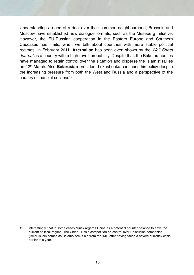Understanding a need of a deal over their common neighbourhood, Brussels and Moscow have established new dialogue formats, such as the Meseberg initiative. However, the EU-Russian cooperation in the Eastern Europe and Southern Caucasus has limits, when we talk about countries with more stable political regimes. In February 2011, **Azerbaijan** has been even shown by the *Wall Street Journal* as a country with a high revolt probability. Despite that, the Baku authorities have managed to retain control over the situation and disperse the Islamist rallies on 12th March. Also **Belarusian** president Lukashenka continues his policy despite the increasing pressure from both the West and Russia and a perspective of the country's financial collapse<sup>12</sup>.

<sup>12</sup> Interestingly, that in some cases Minsk regards China as a potential counter-balance to save the current political regime. The China-Russia competition on control over Belarusian companies (Belaruskali) comes as Belarus seeks aid from the IMF, after having faced a severe currency crisis earlier this year.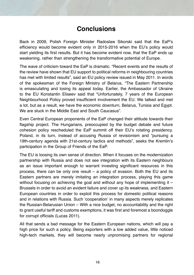#### **Conclusions**

Back in 2009, Polish Foreign Minister Radoslaw Sikorski said that the EaP's efficiency would become evident only in 2015-2016 when the EU's policy would start yielding its first results. But it has become evident now, that the EaP ends up weakening, rather than strengthening the transformative potential of Europe.

The wave of criticism toward the EaP is dramatic. "Recent events and the results of the review have shown that EU support to political reforms in neighbouring countries has met with limited results", said an EU policy review issued in May 2011. In words of the spokesman of the Foreign Ministry of Belarus, "The Eastern Partnership is emasculating and losing its appeal today. Earlier, the Ambassador of Ukraine to the EU Konstantin Eliseev said that "Unfortunately, 7 years of the European Neighbourhood Policy proved insufficient involvement the EU. We talked and met a lot, but as a result, we have the economic downturn, Belarus, Tunisia and Egypt. We are stuck in the Middle East and South Caucasus".

Even Central European proponents of the EaP changed their attitude towards their flagship project. The Hungarians, preoccupied by the budget debate and future cohesion policy rescheduled the EaP summit off their EU's rotating presidency. Poland, in its turn, instead of accusing Russia of revisionism and "pursuing a 19th-century agenda with 21st-century tactics and methods", seeks the Kremlin's participation in the Group of Friends of the EaP.

The EU is loosing its own sense of direction. When it focuses on the modernization partnership with Russia and does not see integration with its Eastern neighbours as an issue important enough to warrant investing significant resources in this process, there can be only one result – a policy of evasion. Both the EU and its Eastern partners are merely imitating an integration process, playing this game without focusing on achieving the goal and without any hope of implementing it  $-$ Brussels in order to avoid an evident failure and cover up its weakness, and Eastern European countries in order to exploit this process for domestic political reasons and in relations with Russia. Such 'cooperation' in many aspects merely replicates the Russian-Belarusian Union – With a nice budget, no accountability and the right to grant useful tariff and customs exemptions, it was first and foremost a boondoggle for corrupt officials (Lucas 2011).

All that sends a bad message for the Eastern European nations, which will pay a high price for such a policy. Being exporters with a low added value, little noticed high-tech markets, they will become nearly unpromising partners for regional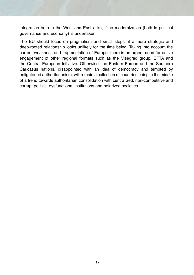integration both in the West and East alike, if no modernization (both in political governance and economy) is undertaken.

The EU should focus on pragmatism and small steps, if a more strategic and deep-rooted relationship looks unlikely for the time being. Taking into account the current weakness and fragmentation of Europe, there is an urgent need for active engagement of other regional formats such as the Visegrad group, EFTA and the Central European Initiative. Otherwise, the Eastern Europe and the Southern Caucasus nations, disappointed with an idea of democracy and tempted by enlightened authoritarianism, will remain a collection of countries being in the middle of a trend towards authoritarian consolidation with centralized, non-competitive and corrupt politics, dysfunctional institutions and polarized societies.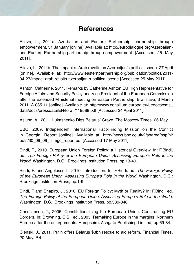### **References**

Alieva, L., 2011a. Azerbaijan and Eastern Partnership: partnership through empowerment. 31 January [online]. Available at: http://eurodialogue.org/Azerbaijanand-Eastern-Partnership-partnership-through-empowerment [Accessed 25 May 2011].

Alieva, L., 2011b. The impact of Arab revolts on Azerbaijan's political scene. 27 April [online]. Available at: http://www.easternpartnership.org/publication/politics/2011- 04-27/impact-arab-revolts-azerbaijan-s-political-scene [Accessed 25 May 2011].

Ashton, Catherine, 2011. Remarks by Catherine Ashton EU High Representative for Foreign Affairs and Security Policy and Vice President of the European Commission after the Extended Ministerial meeting on Eastern Partnership. Bratislava, 3 March 2011. A 085-11 [online]. Available at: http://www.consilium.europa.eu/uedocs/cms\_ data/docs/pressdata/EN/foraff/119588.pdf [Accessed 24 April 2011].

Aslund, A., 2011. Lukashenko Digs Belarus' Grave. The Moscow Times. 26 May.

BBC, 2009. Independent International Fact-Finding Mission on the Conflict in Georgia. Report [online]. Available at: http://news.bbc.co.uk/2/shared/bsp/hi/ pdfs/30\_09\_09\_iiffmgc\_report.pdf [Accessed 17 May 2011].

Bindi, F., 2010. European Union Foreign Policy: a Historical Overview. In: F.Bindi, ed. *The Foreign Policy of the European Union. Assessing Europe's Role in the World.* Washington, D.C.: Brookings Institution Press, pp.13-40.

Bindi, F. and Angelescu I., 2010. Introduction. In: F.Bindi, ed. *The Foreign Policy of the European Union. Assessing Europe's Role in the World*. Washington, D.C.: Brookings Institution Press, pp.1-9.

Bindi, F and Shapiro, J., 2010. EU Foreign Policy: Myth or Reality? In: F.Bindi, ed. *The Foreign Policy of the European Union. Assessing Europe's Role in the World.*  Washington, D.C.: Brookings Institution Press, pp.339-348.

Christiansen, T., 2005. Constitutionalising the European Union, Constructing EU Borders. In: Browning, C.S., ed., 2005. Remaking Europe in the margins: Northern Europe after the enlargements. Hampshire: Ashgate Publishing Limited, pp.69-84.

Cienski, J., 2011. Putin offers Belarus \$3bn rescue to aid reform. Financial Times, 20 May. P.4.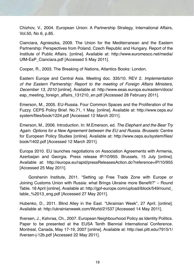Chizhov, V., 2004. European Union: A Partnership Strategy, International Affairs, Vol.50, No 6, p.85.

Cianciara, Agnieszka, 2009. The Union for the Mediterranean and the Eastern Partnership: Perspectives from Poland, Czech Republic and Hungary. Report of the Institute of Public Affairs. [online]. Available at: http://www.euromesco.net/media/ UfM-EaP\_Cianciara.pdf [Accessed 5 May 2011].

Cooper, R., 2003. The Breaking of Nations, Atlantics Books: London.

Eastern Europe and Central Asia. Meeting doc. 335/10. REV 2. *Implementation of the Eastern Partnership: Report to the meeting of Foreign Affairs Ministers, December 13, 2010* [online]. Available at: http://www.eeas.europa.eu/eastern/docs/ eap\_meeting\_foreign\_affairs\_131210\_en.pdf [Accessed 28 February 2011].

Emerson, M., 2005. EU-Russia. Four Common Spaces and the Proliferation of the Fuzzy. CEPS Policy Brief. No.71, 1 May. [online]. Available at: http://www.ceps.eu/ system/files/book/1224.pdf [Accessed 12 March 2011].

Emerson, M., 2006. Introduction. In: M.Emerson, ed. *The Elephant and the Bear Try Again. Options for a New Agreement between the EU and Russia. Brussels:* Centre for European Policy Studies [online]. Available at: http://www.ceps.eu/system/files/ book/1402.pdf [Accessed 12 March 2011].

Europa 2010. EU launches negotiations on Association Agreements with Armenia, Azerbaijan and Georgia. Press release IP/10/955. Brussels, 15 July [online]. Available at: http://europa.eu/rapid/pressReleasesAction.do?reference=IP/10/955 [Accessed 25 May 2011].

Gorshenin Institute, 2011. "Setting up Free Trade Zone with Europe or Joining Customs Union with Russia: what Brings Ukraine more Benefit?" – Round Table. 18 April [online]. Available at: http://gpf-europe.com/upload/iblock/549/round\_ table\_%2013\_eng.pdf [Accessed 27 May 2011].

Hubenko, D., 2011. Blind Alley in the East. "Ukrainian Week", 27 April. [online]. Available at: http://ukrainianweek.com/World/21537 [Accessed 14 May 2011].

Ifversen, J., Kølvraa, Ch., 2007. European Neighbourhood Policy as Identity Politics. Paper to be presented at the EUSA Tenth Biennial International Conference. Montreal, Canada, May 17-19, 2007 [online]. Available at: http://aei.pitt.edu/7915/1/ ifversen-j-12b.pdf [Accessed 22 May 2011].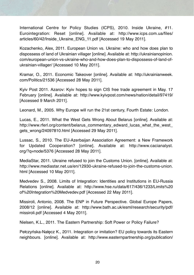International Centre for Policy Studies (ICPS), 2010. Inside Ukraine, #11. Eurointegration: Reset [online]. Available at: http://www.icps.com.ua/files/ articles/60/42/Inside\_Ukraine\_ENG\_11.pdf [Accessed 19 May 2011].

Kozachenko, Alex, 2011. European Union vs. Ukraine: who and how does plan to dispossess of land of Ukrainian villager [online]. Available at: http://ukrainianopinion. com/european-union-vs-ukraine-who-and-how-does-plan-to-dispossess-of-land-ofukrainian-villager/ [Accessed 10 May 2011].

Kramar, O., 2011. Economic Takeover [online]. Available at: http://ukrainianweek. com/Politics/21536 [Accessed 28 May 2011].

Kyiv Post 2011. Azarov: Kyiv hopes to sign CIS free trade agreement in May. 17 February [online]. Available at: http://www.kyivpost.com/news/nation/detail/97419/ [Accessed 9 March 2011].

Leonard, M., 2005. Why Europe will run the 21st century, Fourth Estate: London.

Lucas, E., 2011. What the West Gets Wrong About Belarus [online]. Available at: http://www.rferl.org/content/belarus\_commentary\_edward\_lucas\_what\_the\_west\_ gets\_wrong/24097810.html [Accessed 29 May 2011].

Lussac, S., 2010. The EU-Azerbaijan Association Agreement: a New Framework for Updated Cooperation? [online]. Available at: http://www.cacianalyst. org/?q=node/5376 [Accessed 28 May 2011].

MediaStar, 2011. Ukraine refused to join the Customs Union. [online]. Available at: http://www.mediastar.net.ua/en/12930-ukraine-refused-to-join-the-customs-union. html [Accessed 10 May 2011].

Medvedev S., 2008. Limits of Integration: Identities and Institutions in EU-Russia Relations [online]. Available at: http://www.hse.ru/data/617/436/1233/Limits%20 of%20Integration%20Medvedev.pdf [Accessed 22 May 2011].

Missiroli, Antonio, 2008. The ENP in Future Perspective. Global Europe Papers, 2008/12 [online]. Available at: http://www.bath.ac.uk/esml/research/security/pdf/ missiroli.pdf [Accessed 4 May 2011].

Nielsen, K.L., 2011. The Eastern Partnership: Soft Power or Policy Failure?

Pełczyńska-Nałęcz K., 2011. Integration or imitation? EU policy towards its Eastern neighbours. [online]. Available at: http://www.easternpartnership.org/publication/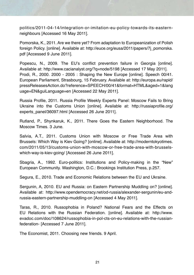politics/2011-04-14/integration-or-imitation-eu-policy-towards-its-easternneighbours [Accessed 16 May 2011].

Pomorska, K., 2011. Are we there yet? From adaptation to Europeanization of Polish foreign Policy. [online]. Available at: http://euce.org/eusa/2011/papers/7j\_pomorska. pdf [Accessed 9 June 2011].

Popescu, N., 2009. The EU's conflict prevention failure in Georgia [online]. Available at: http://www.cacianalyst.org/?q=node/5198 [Accessed 17 May 2011]. Prodi, R., 2000. 2000 - 2005 : Shaping the New Europe [online]. Speech 00/41. European Parliament, Strasbourg, 15 February. Available at: http://europa.eu/rapid/ pressReleasesAction.do?reference=SPEECH/00/41&format=HTML&aged=1&lang uage=EN&guiLanguage=en [Accessed 22 May 2011].

Russia Profile, 2011. Russia Profile Weekly Experts Panel: Moscow Fails to Bring Ukraine into the Customs Union [online]. Available at: http://russiaprofile.org/ experts\_panel/36097.html [Accessed 26 June 2011].

Rutland, P., Shynkaruk, K., 2011. There Goes the Eastern Neighborhood. The Moscow Times. 3 June.

Salvia, A.T., 2011. Customs Union with Moscow or Free Trade Area with Brussels: Which Way is Kiev Going? [online]. Available at: http://moderntokyotimes. com/2011/05/13/customs-union-with-moscow-or-free-trade-area-with-brusselswhich-way-is-kiev-going/ [Accessed 26 June 2011].

Sbagria, A., 1992. Euro-politics: Institutions and Policy-making in the "New" European Community. Washington, D.C.: Brookings Institution Press, p.257.

Segura, E., 2010. Trade and Economic Relations between the EU and Ukraine.

Sergunin, A, 2010. EU and Russia: on Eastern Partnership Muddling on? [online]. Available at: http://www.opendemocracy.net/od-russia/alexander-sergunin/eu-andrussia-eastern-partnership-muddling-on [Accessed 4 May 2011].

Taras, R., 2010. Russophobia in Poland? National Fears and the Effects on EU Relations with the Russian Federation. [online]. Available at: http://www. evadoc.com/doc/108624/russophobia-in-pol-cts-on-eu-relations-with-the-russianfederation- [Accessed 7 June 2011].

The Economist, 2011. Choosing new friends. 9 April.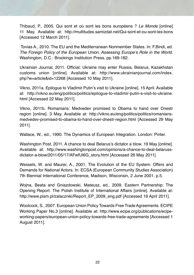Thibaud, P., 2005. Qui sont et où sont les bons européens ? *Le Monde* [online] 11 May. Available at: http://multitudes.samizdat.net/Qui-sont-et-ou-sont-les-bons [Accessed 12 March 2011].

 Tovias A., 2010. The EU and the Mediterranean Nonmember States. In: F.Bindi, ed. *The Foreign Policy of the European Union. Assessing Europe's Role in the World.*  Washington, D.C.: Brookings Institution Press, pp.169-182.

Ukrainian Journal, 2011. Official: Ukraine may enter Russia, Belarus, Kazakhstan customs union [online]. Available at: http://www.ukrainianjournal.com/index. php?w=article&id=12268 [Accessed 10 May 2011].

Vikno, 2011a. Epilogue to Vladimir Putin's visit to Ukraine [online]. 15 April. Available at: http://vikno.eu/eng/politics/politics/epilogue-to-vladimir-putin-s-visit-to-ukraine. html [Accessed 22 May 2011].

Vikno, 2011b. Romanians: Medvedev promised to Obama to hand over Dnestr region [online]. 3 May. Available at: http://vikno.eu/eng/politics/politics/romaniansmedvedev-promised-to-obama-to-hand-over-dnestr-region.html [Accessed 29 May 2011].

Wallace, W., ed., 1990. The Dynamics of European Integration. London: Pinter.

Washington Post, 2011. A chance to deal Belarus's dictator a blow. 19 May [online]. Available at: http://www.washingtonpost.com/opinions/a-chance-to-deal-belarussdictator-a-blow/2011/05/17/AFwfUl6G\_story.html [Accessed 26 May 2011].

Wessels, W. and Maurer, A., 2001. The Evolution of the EU System: Offers and Demands for National Actors. In: ECSA (European Community Studies Association) 7th Biennial International Conference, Madison, Wisconsin, 2 June 2001. p.5.

Wojna, Beata and Gniazdowski, Mateusz, ed., 2009. Eastern Partnership: The Opening Report. The Polish Institute of International Affairs [online]. Available at: http://www.pism.pl/zalaczniki/Report\_EP\_2009\_eng.pdf [Accessed 19 April 2011].

Woolcock, S., 2007. European Union Policy Towards Free Trade Agreements. ECIPE Working Paper No.3 [online]. Available at: http://www.ecipe.org/publications/ecipeworking-papers/european-union-policy-towards-free-trade-agreements [Accessed 1 August 2011].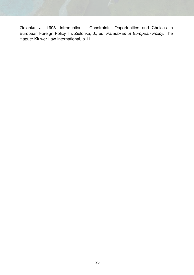Zielonka, J., 1998. Introduction – Constraints, Opportunities and Choices in European Foreign Policy. In: Zielonka, J., ed. *Paradoxes of European Policy*. The Hague: Kluwer Law International, p.11.